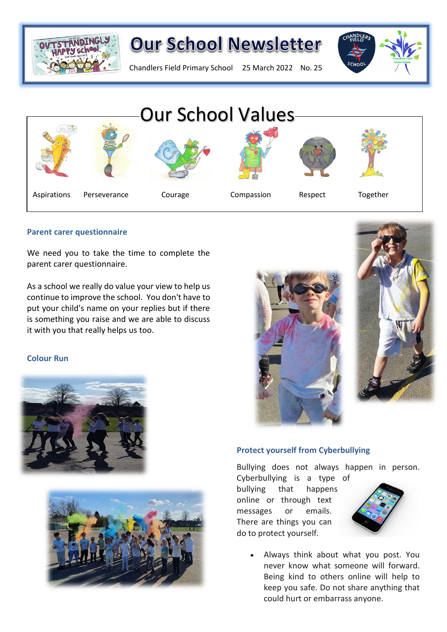

# **Our School Newsletter**

Chandlers Field Primary School 25 March 2022 No. 25





#### **Parent carer questionnaire**

We need you to take the time to complete the parent carer questionnaire.

As a school we really do value your view to help us continue to improve the school. You don't have to put your child's name on your replies but if there is something you raise and we are able to discuss it with you that really helps us too.

#### **Colour Run**









#### **Protect yourself from Cyberbullying**

Bullying does not always happen in person.

Cyberbullying is a type of bullying that happens online or through text messages or emails. There are things you can do to protect yourself.



• Always think about what you post. You never know what someone will forward. Being kind to others online will help to keep you safe. Do not share anything that could hurt or embarrass anyone.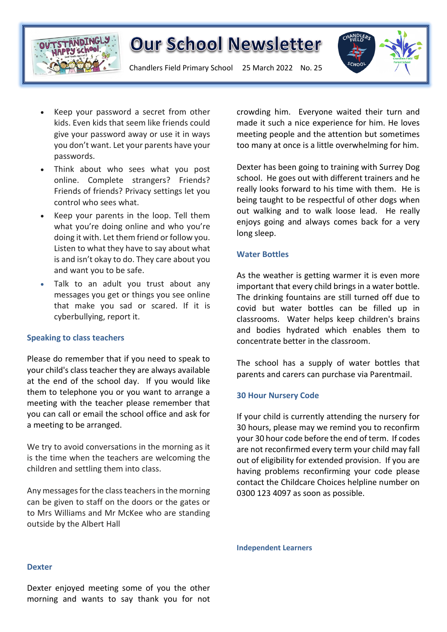

## **Our School Newsletter**

Chandlers Field Primary School 25 March 2022 No. 25



- Keep your password a secret from other kids. Even kids that seem like friends could give your password away or use it in ways you don't want. Let your parents have your passwords.
- Think about who sees what you post online. Complete strangers? Friends? Friends of friends? Privacy settings let you control who sees what.
- Keep your parents in the loop. Tell them what you're doing online and who you're doing it with. Let them friend or follow you. Listen to what they have to say about what is and isn't okay to do. They care about you and want you to be safe.
- Talk to an adult you trust about any messages you get or things you see online that make you sad or scared. If it is cyberbullying, report it.

#### **Speaking to class teachers**

Please do remember that if you need to speak to your child's class teacher they are always available at the end of the school day. If you would like them to telephone you or you want to arrange a meeting with the teacher please remember that you can call or email the school office and ask for a meeting to be arranged.

We try to avoid conversations in the morning as it is the time when the teachers are welcoming the children and settling them into class.

Any messages for the class teachers in the morning can be given to staff on the doors or the gates or to Mrs Williams and Mr McKee who are standing outside by the Albert Hall

crowding him. Everyone waited their turn and made it such a nice experience for him. He loves meeting people and the attention but sometimes too many at once is a little overwhelming for him.

Dexter has been going to training with Surrey Dog school. He goes out with different trainers and he really looks forward to his time with them. He is being taught to be respectful of other dogs when out walking and to walk loose lead. He really enjoys going and always comes back for a very long sleep.

#### **Water Bottles**

As the weather is getting warmer it is even more important that every child brings in a water bottle. The drinking fountains are still turned off due to covid but water bottles can be filled up in classrooms. Water helps keep children's brains and bodies hydrated which enables them to concentrate better in the classroom.

The school has a supply of water bottles that parents and carers can purchase via Parentmail.

#### **30 Hour Nursery Code**

If your child is currently attending the nursery for 30 hours, please may we remind you to reconfirm your 30 hour code before the end of term. If codes are not reconfirmed every term your child may fall out of eligibility for extended provision. If you are having problems reconfirming your code please contact the Childcare Choices helpline number on 0300 123 4097 as soon as possible.

**Independent Learners**

#### **Dexter**

Dexter enjoyed meeting some of you the other morning and wants to say thank you for not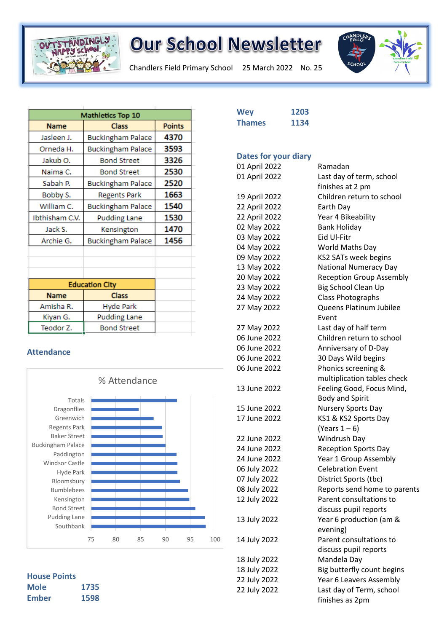

# **Our School Newsletter**

Chandlers Field Primary School 25 March 2022 No. 25



| Mathletics Top 10     |                          |               |
|-----------------------|--------------------------|---------------|
| <b>Name</b>           | <b>Class</b>             | <b>Points</b> |
| Jasleen J.            | <b>Buckingham Palace</b> | 4370          |
| Orneda H.             | <b>Buckingham Palace</b> | 3593          |
| Jakub O.              | <b>Bond Street</b>       | 3326          |
| Naima C.              | <b>Bond Street</b>       | 2530          |
| Sabah P.              | <b>Buckingham Palace</b> | 2520          |
| Bobby S.              | <b>Regents Park</b>      | 1663          |
| William C.            | <b>Buckingham Palace</b> | 1540          |
| Ibthisham C.V.        | <b>Pudding Lane</b>      | 1530          |
| Jack S.               | Kensington               | 1470          |
| Archie G.             | <b>Buckingham Palace</b> | 1456          |
|                       |                          |               |
|                       |                          |               |
|                       |                          |               |
| <b>Education City</b> |                          |               |
| <b>Name</b>           | <b>Class</b>             |               |
| Amisha R.             | <b>Hyde Park</b>         |               |
| Kiyan G.              | <b>Pudding Lane</b>      |               |
| Teodor Z.             | <b>Bond Street</b>       |               |

### **Attendance**



**House Points Mole 1735 Ember 1598**

| <b>Wey</b>                  | 1203 |
|-----------------------------|------|
| <b>Thames</b>               | 1134 |
|                             |      |
|                             |      |
| <b>Dates for your diary</b> |      |
| 01 April 2022               |      |
| 01 April 2022               |      |
| 19 April 2022               |      |
| 22 April 2022               |      |
| 22 April 2022               |      |
| 02 May 2022                 |      |
| 03 May 2022                 |      |
| 04 May 2022                 |      |
| 09 May 2022                 |      |
| 13 May 2022                 |      |
| 20 May 2022                 |      |
| 23 May 2022                 |      |
| 24 May 2022                 |      |
| 27 May 2022                 |      |
|                             |      |
| 27 May 2022                 |      |
| 06 June 2022                |      |
| 06 June 2022                |      |
| 06 June 2022                |      |
| 06 June 2022                |      |
| 13 June 2022                |      |
|                             |      |
| 15 June 2022                |      |
| 17 June 2022                |      |
| 22 June 2022                |      |
| 24 June 2022                |      |
| 24 June 2022                |      |
| 06 July 2022                |      |
| 07 July 2022                |      |
| 08 July 2022                |      |
| 12 July 2022                |      |
|                             |      |
| 13 July 2022                |      |
| 14 July 2022                |      |
|                             |      |

| 01 April 2022 | Ramadan                         |  |
|---------------|---------------------------------|--|
| 01 April 2022 | Last day of term, school        |  |
|               | finishes at 2 pm                |  |
| 19 April 2022 | Children return to school       |  |
| 22 April 2022 | Earth Day                       |  |
| 22 April 2022 | Year 4 Bikeability              |  |
| 02 May 2022   | <b>Bank Holiday</b>             |  |
| 03 May 2022   | Eid Ul-Fitr                     |  |
| 04 May 2022   | World Maths Day                 |  |
| 09 May 2022   | KS2 SATs week begins            |  |
| 13 May 2022   | <b>National Numeracy Day</b>    |  |
| 20 May 2022   | <b>Reception Group Assembly</b> |  |
| 23 May 2022   | Big School Clean Up             |  |
| 24 May 2022   | Class Photographs               |  |
| 27 May 2022   | Queens Platinum Jubilee         |  |
|               | Event                           |  |
| 27 May 2022   | Last day of half term           |  |
| 06 June 2022  | Children return to school       |  |
| 06 June 2022  | Anniversary of D-Day            |  |
| 06 June 2022  | 30 Days Wild begins             |  |
| 06 June 2022  | Phonics screening &             |  |
|               | multiplication tables check     |  |
| 13 June 2022  | Feeling Good, Focus Mind,       |  |
|               | <b>Body and Spirit</b>          |  |
| 15 June 2022  | Nursery Sports Day              |  |
| 17 June 2022  | KS1 & KS2 Sports Day            |  |
|               | (Years $1-6$ )                  |  |
| 22 June 2022  | Windrush Day                    |  |
| 24 June 2022  | <b>Reception Sports Day</b>     |  |
| 24 June 2022  | Year 1 Group Assembly           |  |
| 06 July 2022  | <b>Celebration Event</b>        |  |
| 07 July 2022  | District Sports (tbc)           |  |
| 08 July 2022  | Reports send home to parents    |  |
| 12 July 2022  | Parent consultations to         |  |
|               | discuss pupil reports           |  |
| 13 July 2022  | Year 6 production (am &         |  |
|               | evening)                        |  |
| 14 July 2022  | Parent consultations to         |  |
|               | discuss pupil reports           |  |
| 18 July 2022  | Mandela Day                     |  |
| 18 July 2022  | Big butterfly count begins      |  |
| 22 July 2022  | Year 6 Leavers Assembly         |  |
| 22 July 2022  | Last day of Term, school        |  |
|               | finishes as 2pm                 |  |
|               |                                 |  |